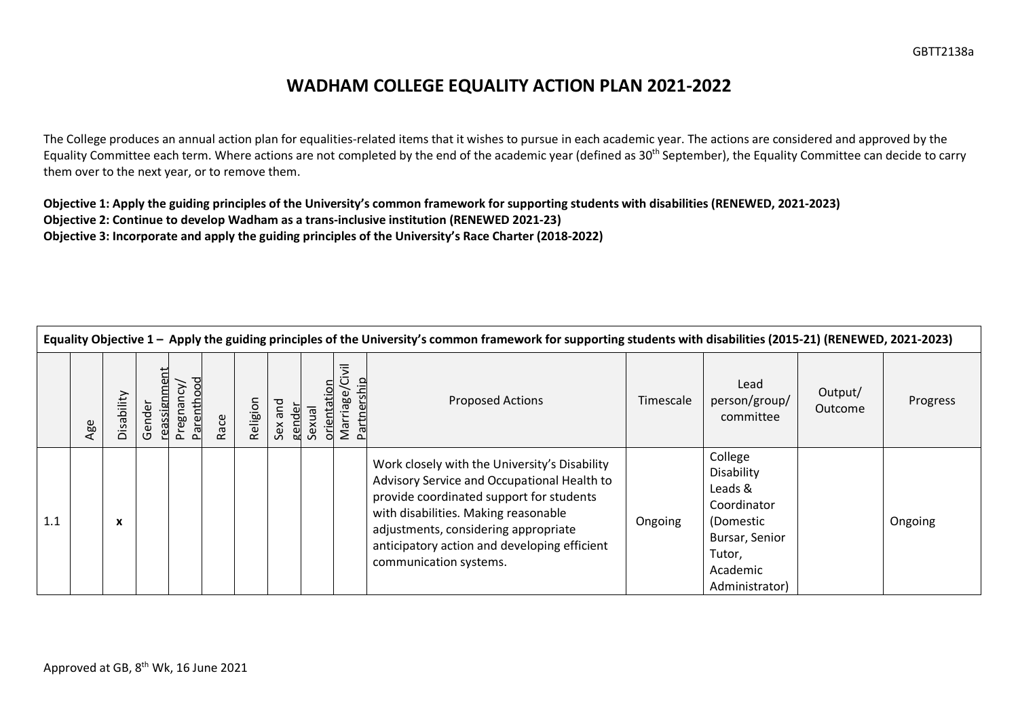## **WADHAM COLLEGE EQUALITY ACTION PLAN 2021-2022**

The College produces an annual action plan for equalities-related items that it wishes to pursue in each academic year. The actions are considered and approved by the Equality Committee each term. Where actions are not completed by the end of the academic year (defined as 30<sup>th</sup> September), the Equality Committee can decide to carry them over to the next year, or to remove them.

**Objective 1: Apply the guiding principles of the University's common framework for supporting students with disabilities (RENEWED, 2021-2023) Objective 2: Continue to develop Wadham as a trans-inclusive institution (RENEWED 2021-23) Objective 3: Incorporate and apply the guiding principles of the University's Race Charter (2018-2022)**

|     | Equality Objective 1 - Apply the guiding principles of the University's common framework for supporting students with disabilities (2015-21) (RENEWED, 2021-2023) |            |                              |                                |      |          |                   |                      |                                              |                                                                                                                                                                                                                                                                                                    |           |                                                                                                                        |                           |          |
|-----|-------------------------------------------------------------------------------------------------------------------------------------------------------------------|------------|------------------------------|--------------------------------|------|----------|-------------------|----------------------|----------------------------------------------|----------------------------------------------------------------------------------------------------------------------------------------------------------------------------------------------------------------------------------------------------------------------------------------------------|-----------|------------------------------------------------------------------------------------------------------------------------|---------------------------|----------|
|     | Age                                                                                                                                                               | Disability | <u>eassignment</u><br>Gender | <b>Parenthood</b><br>Pregnancy | Race | Religion | Sex and<br>gender | orientatio<br>Sexual | <b>Side</b><br>ership<br>Marriage/<br>Partne | <b>Proposed Actions</b>                                                                                                                                                                                                                                                                            | Timescale | Lead<br>person/group/<br>committee                                                                                     | Output/<br><b>Outcome</b> | Progress |
| 1.1 |                                                                                                                                                                   | X          |                              |                                |      |          |                   |                      |                                              | Work closely with the University's Disability<br>Advisory Service and Occupational Health to<br>provide coordinated support for students<br>with disabilities. Making reasonable<br>adjustments, considering appropriate<br>anticipatory action and developing efficient<br>communication systems. | Ongoing   | College<br>Disability<br>Leads &<br>Coordinator<br>(Domestic<br>Bursar, Senior<br>Tutor,<br>Academic<br>Administrator) |                           | Ongoing  |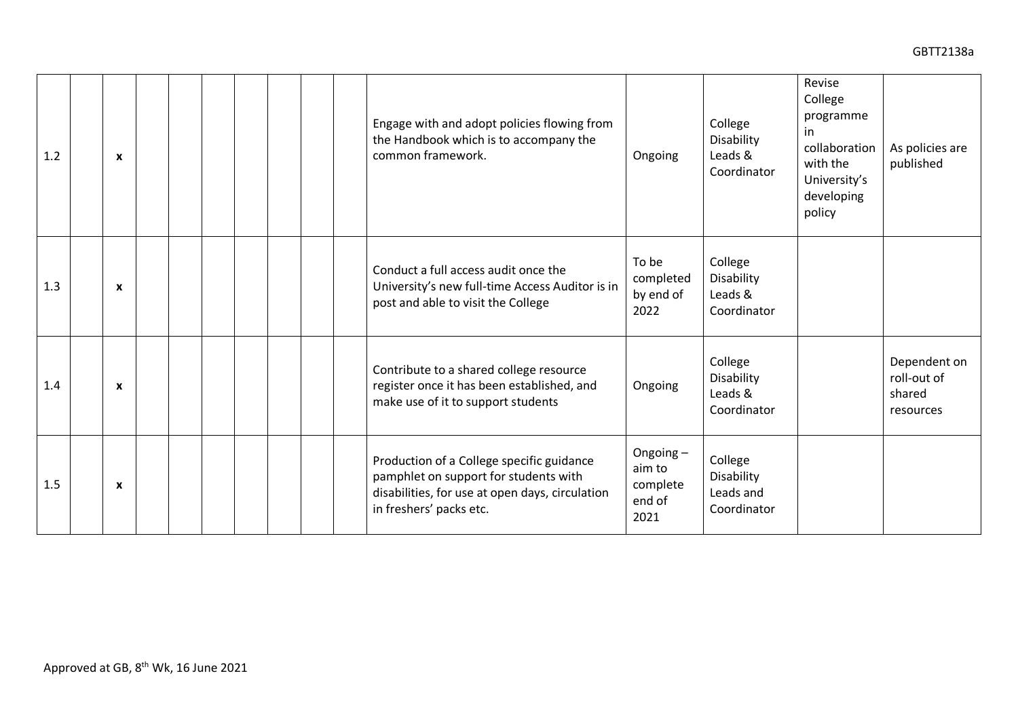| 1.2 | $\boldsymbol{\mathsf{x}}$ | Engage with and adopt policies flowing from<br>College<br>the Handbook which is to accompany the<br>Disability<br>Leads &<br>common framework.<br>Ongoing<br>Coordinator                                                                                                  | Revise<br>College<br>programme<br>in<br>collaboration<br>As policies are<br>published<br>with the<br>University's<br>developing<br>policy |
|-----|---------------------------|---------------------------------------------------------------------------------------------------------------------------------------------------------------------------------------------------------------------------------------------------------------------------|-------------------------------------------------------------------------------------------------------------------------------------------|
| 1.3 | $\boldsymbol{\mathsf{x}}$ | To be<br>College<br>Conduct a full access audit once the<br>completed<br>Disability<br>University's new full-time Access Auditor is in<br>by end of<br>Leads &<br>post and able to visit the College<br>2022<br>Coordinator                                               |                                                                                                                                           |
| 1.4 | $\boldsymbol{\mathsf{x}}$ | College<br>Contribute to a shared college resource<br>Disability<br>register once it has been established, and<br>Ongoing<br>Leads &<br>make use of it to support students<br>Coordinator                                                                                 | Dependent on<br>roll-out of<br>shared<br>resources                                                                                        |
| 1.5 | $\boldsymbol{\mathsf{x}}$ | Ongoing-<br>Production of a College specific guidance<br>College<br>aim to<br>pamphlet on support for students with<br>Disability<br>complete<br>disabilities, for use at open days, circulation<br>Leads and<br>end of<br>in freshers' packs etc.<br>Coordinator<br>2021 |                                                                                                                                           |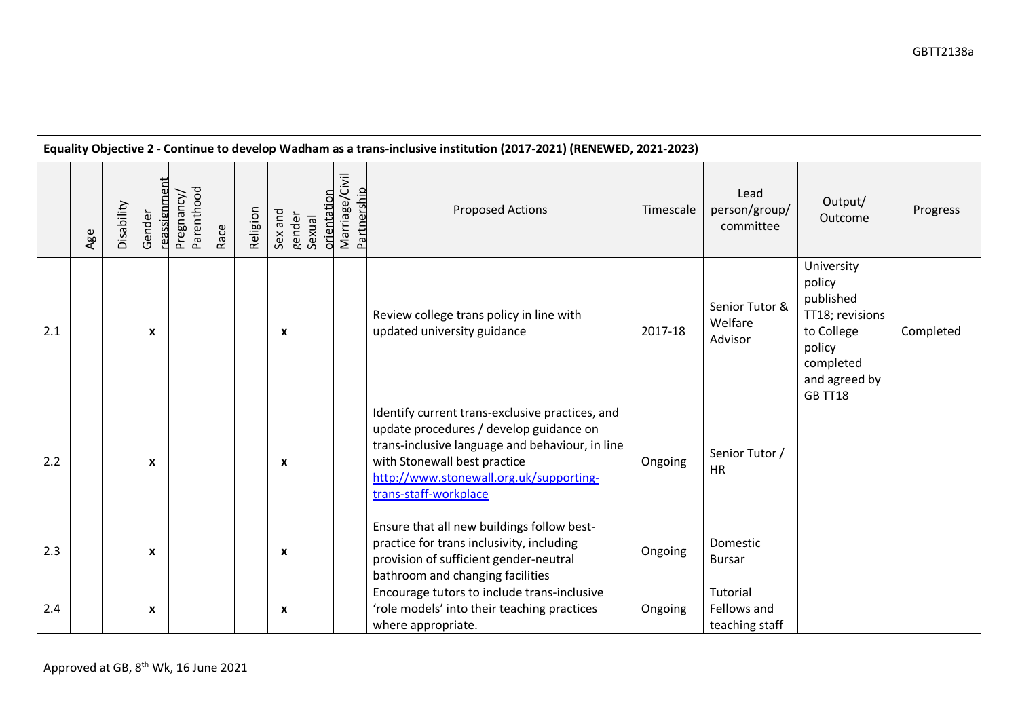|     | Equality Objective 2 - Continue to develop Wadham as a trans-inclusive institution (2017-2021) (RENEWED, 2021-2023) |            |                           |                          |      |          |                   |                       |                               |                                                                                                                                                                                                                                                   |           |                                           |                                                                                                                              |           |
|-----|---------------------------------------------------------------------------------------------------------------------|------------|---------------------------|--------------------------|------|----------|-------------------|-----------------------|-------------------------------|---------------------------------------------------------------------------------------------------------------------------------------------------------------------------------------------------------------------------------------------------|-----------|-------------------------------------------|------------------------------------------------------------------------------------------------------------------------------|-----------|
|     | Age                                                                                                                 | Disability | reassignment<br>Gender    | Parenthood<br>Pregnancy/ | Race | Religion | Sex and<br>gender | orientation<br>Sexual | Marriage/Civil<br>Partnership | <b>Proposed Actions</b>                                                                                                                                                                                                                           | Timescale | Lead<br>person/group/<br>committee        | Output/<br>Outcome                                                                                                           | Progress  |
| 2.1 |                                                                                                                     |            | $\boldsymbol{\mathsf{x}}$ |                          |      |          | X                 |                       |                               | Review college trans policy in line with<br>updated university guidance                                                                                                                                                                           | 2017-18   | Senior Tutor &<br>Welfare<br>Advisor      | University<br>policy<br>published<br>TT18; revisions<br>to College<br>policy<br>completed<br>and agreed by<br><b>GB TT18</b> | Completed |
| 2.2 |                                                                                                                     |            | $\boldsymbol{\mathsf{x}}$ |                          |      |          | X                 |                       |                               | Identify current trans-exclusive practices, and<br>update procedures / develop guidance on<br>trans-inclusive language and behaviour, in line<br>with Stonewall best practice<br>http://www.stonewall.org.uk/supporting-<br>trans-staff-workplace | Ongoing   | Senior Tutor /<br><b>HR</b>               |                                                                                                                              |           |
| 2.3 |                                                                                                                     |            | $\boldsymbol{\mathsf{x}}$ |                          |      |          | $\mathbf{x}$      |                       |                               | Ensure that all new buildings follow best-<br>practice for trans inclusivity, including<br>provision of sufficient gender-neutral<br>bathroom and changing facilities                                                                             | Ongoing   | Domestic<br><b>Bursar</b>                 |                                                                                                                              |           |
| 2.4 |                                                                                                                     |            | $\boldsymbol{\mathsf{x}}$ |                          |      |          | X                 |                       |                               | Encourage tutors to include trans-inclusive<br>'role models' into their teaching practices<br>where appropriate.                                                                                                                                  | Ongoing   | Tutorial<br>Fellows and<br>teaching staff |                                                                                                                              |           |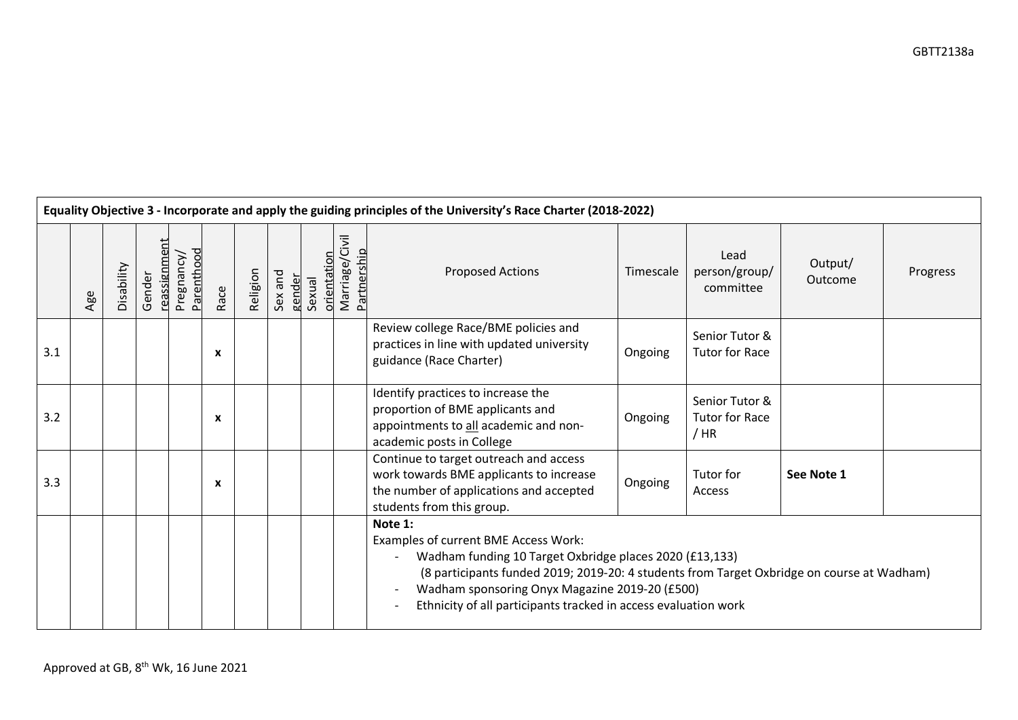|     | Equality Objective 3 - Incorporate and apply the guiding principles of the University's Race Charter (2018-2022) |            |                        |                          |      |          |         |                                |                                      |                                                                                                                                                                                                                                                                                                                               |           |                                                 |                    |          |  |  |  |
|-----|------------------------------------------------------------------------------------------------------------------|------------|------------------------|--------------------------|------|----------|---------|--------------------------------|--------------------------------------|-------------------------------------------------------------------------------------------------------------------------------------------------------------------------------------------------------------------------------------------------------------------------------------------------------------------------------|-----------|-------------------------------------------------|--------------------|----------|--|--|--|
|     | Age                                                                                                              | Disability | reassignment<br>Gender | Parenthood<br>Pregnancy/ | Race | Religion | Sex and | orientatio<br>gender<br>Sexual | Marriage/Civil<br><b>Partnership</b> | <b>Proposed Actions</b>                                                                                                                                                                                                                                                                                                       | Timescale | Lead<br>person/group/<br>committee              | Output/<br>Outcome | Progress |  |  |  |
| 3.1 |                                                                                                                  |            |                        |                          | X    |          |         |                                |                                      | Review college Race/BME policies and<br>practices in line with updated university<br>guidance (Race Charter)                                                                                                                                                                                                                  | Ongoing   | Senior Tutor &<br><b>Tutor for Race</b>         |                    |          |  |  |  |
| 3.2 |                                                                                                                  |            |                        |                          | X    |          |         |                                |                                      | Identify practices to increase the<br>proportion of BME applicants and<br>appointments to all academic and non-<br>academic posts in College                                                                                                                                                                                  | Ongoing   | Senior Tutor &<br><b>Tutor for Race</b><br>/ HR |                    |          |  |  |  |
| 3.3 |                                                                                                                  |            |                        |                          | X    |          |         |                                |                                      | Continue to target outreach and access<br>work towards BME applicants to increase<br>the number of applications and accepted<br>students from this group.                                                                                                                                                                     | Ongoing   | Tutor for<br>Access                             | See Note 1         |          |  |  |  |
|     |                                                                                                                  |            |                        |                          |      |          |         |                                |                                      | Note 1:<br>Examples of current BME Access Work:<br>Wadham funding 10 Target Oxbridge places 2020 (£13,133)<br>(8 participants funded 2019; 2019-20: 4 students from Target Oxbridge on course at Wadham)<br>Wadham sponsoring Onyx Magazine 2019-20 (£500)<br>Ethnicity of all participants tracked in access evaluation work |           |                                                 |                    |          |  |  |  |